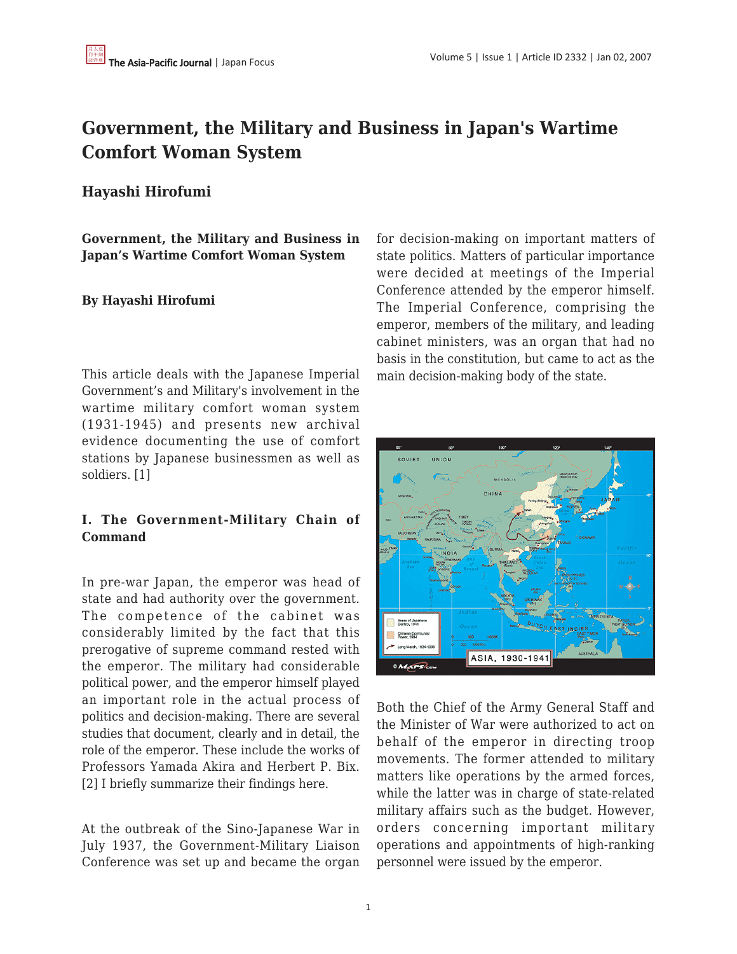# **Government, the Military and Business in Japan's Wartime Comfort Woman System**

# **Hayashi Hirofumi**

**Government, the Military and Business in Japan's Wartime Comfort Woman System**

## **By Hayashi Hirofumi**

This article deals with the Japanese Imperial Government's and Military's involvement in the wartime military comfort woman system (1931-1945) and presents new archival evidence documenting the use of comfort stations by Japanese businessmen as well as soldiers. [1]

## **I. The Government-Military Chain of Command**

In pre-war Japan, the emperor was head of state and had authority over the government. The competence of the cabinet was considerably limited by the fact that this prerogative of supreme command rested with the emperor. The military had considerable political power, and the emperor himself played an important role in the actual process of politics and decision-making. There are several studies that document, clearly and in detail, the role of the emperor. These include the works of Professors Yamada Akira and Herbert P. Bix. [2] I briefly summarize their findings here.

At the outbreak of the Sino-Japanese War in July 1937, the Government-Military Liaison Conference was set up and became the organ for decision-making on important matters of state politics. Matters of particular importance were decided at meetings of the Imperial Conference attended by the emperor himself. The Imperial Conference, comprising the emperor, members of the military, and leading cabinet ministers, was an organ that had no basis in the constitution, but came to act as the main decision-making body of the state.



Both the Chief of the Army General Staff and the Minister of War were authorized to act on behalf of the emperor in directing troop movements. The former attended to military matters like operations by the armed forces, while the latter was in charge of state-related military affairs such as the budget. However, orders concerning important military operations and appointments of high-ranking personnel were issued by the emperor.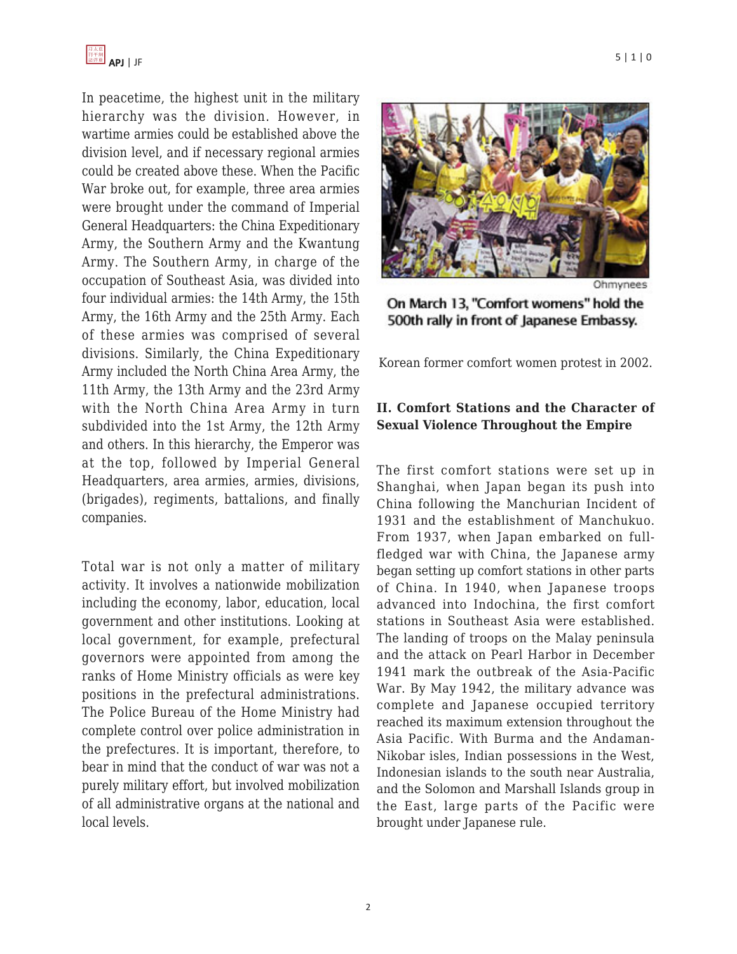

In peacetime, the highest unit in the military hierarchy was the division. However, in wartime armies could be established above the division level, and if necessary regional armies could be created above these. When the Pacific War broke out, for example, three area armies were brought under the command of Imperial General Headquarters: the China Expeditionary Army, the Southern Army and the Kwantung Army. The Southern Army, in charge of the occupation of Southeast Asia, was divided into four individual armies: the 14th Army, the 15th Army, the 16th Army and the 25th Army. Each of these armies was comprised of several divisions. Similarly, the China Expeditionary Army included the North China Area Army, the 11th Army, the 13th Army and the 23rd Army with the North China Area Army in turn subdivided into the 1st Army, the 12th Army and others. In this hierarchy, the Emperor was at the top, followed by Imperial General Headquarters, area armies, armies, divisions, (brigades), regiments, battalions, and finally companies.

Total war is not only a matter of military activity. It involves a nationwide mobilization including the economy, labor, education, local government and other institutions. Looking at local government, for example, prefectural governors were appointed from among the ranks of Home Ministry officials as were key positions in the prefectural administrations. The Police Bureau of the Home Ministry had complete control over police administration in the prefectures. It is important, therefore, to bear in mind that the conduct of war was not a purely military effort, but involved mobilization of all administrative organs at the national and local levels.



On March 13, "Comfort womens" hold the 500th rally in front of Japanese Embassy.

Korean former comfort women protest in 2002.

#### **II. Comfort Stations and the Character of Sexual Violence Throughout the Empire**

The first comfort stations were set up in Shanghai, when Japan began its push into China following the Manchurian Incident of 1931 and the establishment of Manchukuo. From 1937, when Japan embarked on fullfledged war with China, the Japanese army began setting up comfort stations in other parts of China. In 1940, when Japanese troops advanced into Indochina, the first comfort stations in Southeast Asia were established. The landing of troops on the Malay peninsula and the attack on Pearl Harbor in December 1941 mark the outbreak of the Asia-Pacific War. By May 1942, the military advance was complete and Japanese occupied territory reached its maximum extension throughout the Asia Pacific. With Burma and the Andaman-Nikobar isles, Indian possessions in the West, Indonesian islands to the south near Australia, and the Solomon and Marshall Islands group in the East, large parts of the Pacific were brought under Japanese rule.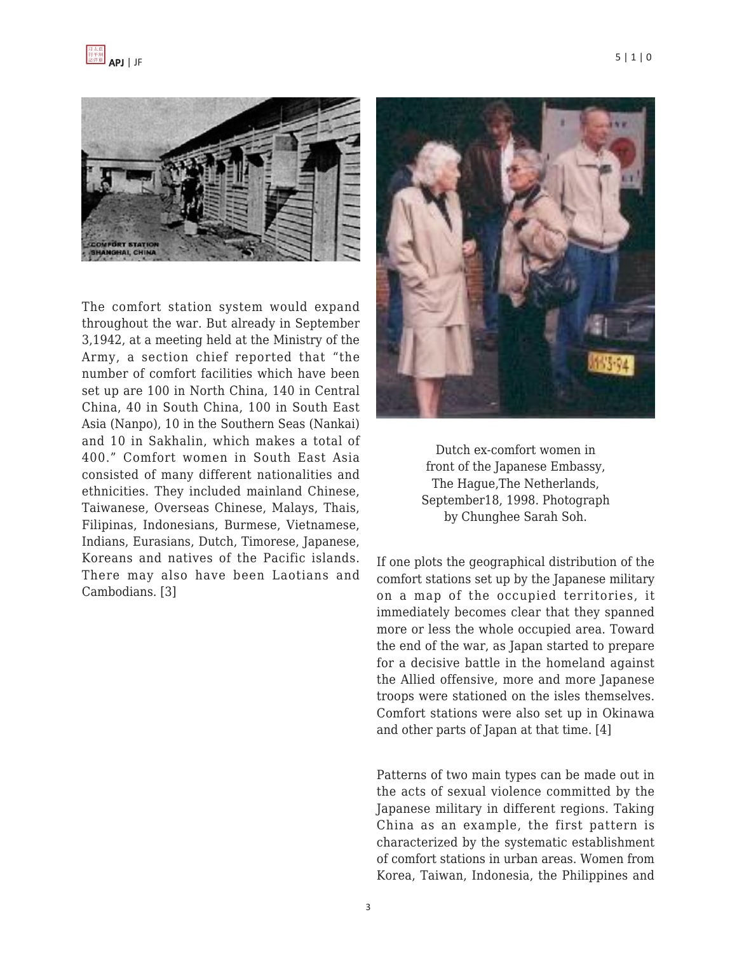

The comfort station system would expand throughout the war. But already in September 3,1942, at a meeting held at the Ministry of the Army, a section chief reported that "the number of comfort facilities which have been set up are 100 in North China, 140 in Central China, 40 in South China, 100 in South East Asia (Nanpo), 10 in the Southern Seas (Nankai) and 10 in Sakhalin, which makes a total of 400." Comfort women in South East Asia consisted of many different nationalities and ethnicities. They included mainland Chinese, Taiwanese, Overseas Chinese, Malays, Thais, Filipinas, Indonesians, Burmese, Vietnamese, Indians, Eurasians, Dutch, Timorese, Japanese, Koreans and natives of the Pacific islands. There may also have been Laotians and Cambodians. [3]





If one plots the geographical distribution of the comfort stations set up by the Japanese military on a map of the occupied territories, it immediately becomes clear that they spanned more or less the whole occupied area. Toward the end of the war, as Japan started to prepare for a decisive battle in the homeland against the Allied offensive, more and more Japanese troops were stationed on the isles themselves. Comfort stations were also set up in Okinawa and other parts of Japan at that time. [4]

Patterns of two main types can be made out in the acts of sexual violence committed by the Japanese military in different regions. Taking China as an example, the first pattern is characterized by the systematic establishment of comfort stations in urban areas. Women from Korea, Taiwan, Indonesia, the Philippines and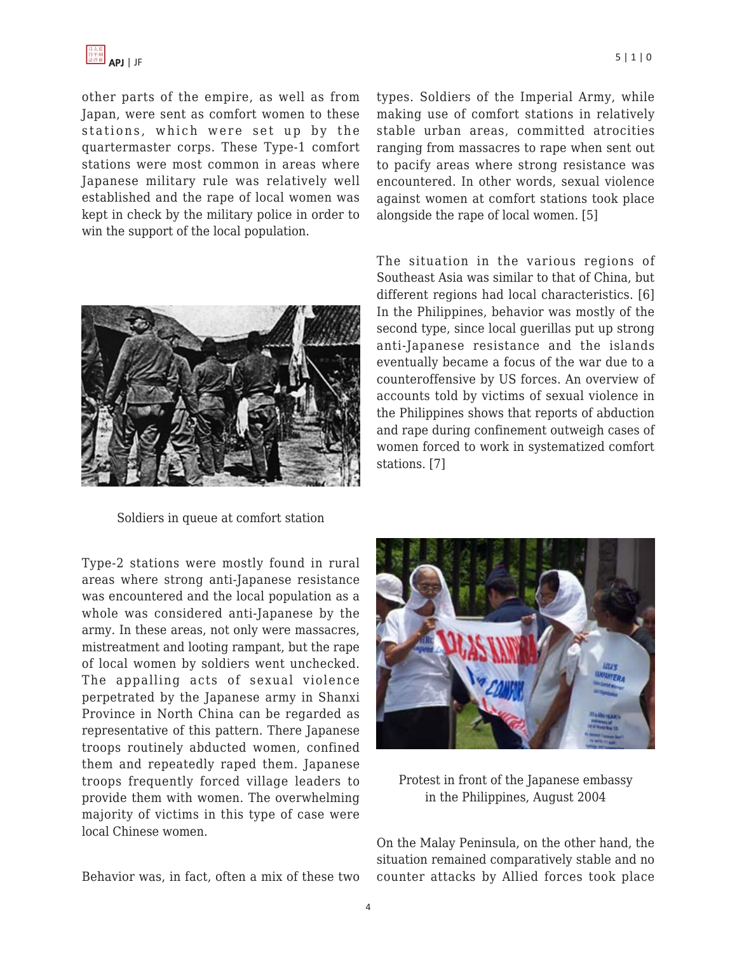

other parts of the empire, as well as from Japan, were sent as comfort women to these stations, which were set up by the quartermaster corps. These Type-1 comfort stations were most common in areas where Japanese military rule was relatively well established and the rape of local women was kept in check by the military police in order to win the support of the local population.



Soldiers in queue at comfort station

Type-2 stations were mostly found in rural areas where strong anti-Japanese resistance was encountered and the local population as a whole was considered anti-Japanese by the army. In these areas, not only were massacres, mistreatment and looting rampant, but the rape of local women by soldiers went unchecked. The appalling acts of sexual violence perpetrated by the Japanese army in Shanxi Province in North China can be regarded as representative of this pattern. There Japanese troops routinely abducted women, confined them and repeatedly raped them. Japanese troops frequently forced village leaders to provide them with women. The overwhelming majority of victims in this type of case were local Chinese women.

Behavior was, in fact, often a mix of these two

types. Soldiers of the Imperial Army, while making use of comfort stations in relatively stable urban areas, committed atrocities ranging from massacres to rape when sent out to pacify areas where strong resistance was encountered. In other words, sexual violence against women at comfort stations took place alongside the rape of local women. [5]

The situation in the various regions of Southeast Asia was similar to that of China, but different regions had local characteristics. [6] In the Philippines, behavior was mostly of the second type, since local guerillas put up strong anti-Japanese resistance and the islands eventually became a focus of the war due to a counteroffensive by US forces. An overview of accounts told by victims of sexual violence in the Philippines shows that reports of abduction and rape during confinement outweigh cases of women forced to work in systematized comfort stations. [7]



Protest in front of the Japanese embassy in the Philippines, August 2004

On the Malay Peninsula, on the other hand, the situation remained comparatively stable and no counter attacks by Allied forces took place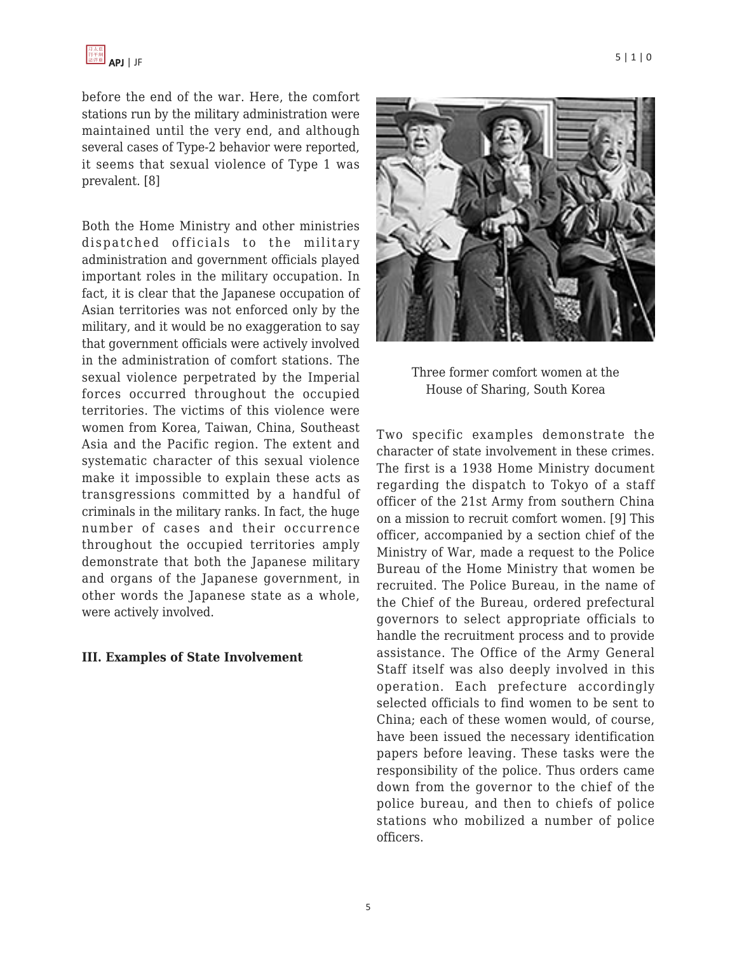before the end of the war. Here, the comfort stations run by the military administration were maintained until the very end, and although several cases of Type-2 behavior were reported, it seems that sexual violence of Type 1 was prevalent. [8]

Both the Home Ministry and other ministries dispatched officials to the military administration and government officials played important roles in the military occupation. In fact, it is clear that the Japanese occupation of Asian territories was not enforced only by the military, and it would be no exaggeration to say that government officials were actively involved in the administration of comfort stations. The sexual violence perpetrated by the Imperial forces occurred throughout the occupied territories. The victims of this violence were women from Korea, Taiwan, China, Southeast Asia and the Pacific region. The extent and systematic character of this sexual violence make it impossible to explain these acts as transgressions committed by a handful of criminals in the military ranks. In fact, the huge number of cases and their occurrence throughout the occupied territories amply demonstrate that both the Japanese military and organs of the Japanese government, in other words the Japanese state as a whole, were actively involved.

#### **III. Examples of State Involvement**



Three former comfort women at the House of Sharing, South Korea

Two specific examples demonstrate the character of state involvement in these crimes. The first is a 1938 Home Ministry document regarding the dispatch to Tokyo of a staff officer of the 21st Army from southern China on a mission to recruit comfort women. [9] This officer, accompanied by a section chief of the Ministry of War, made a request to the Police Bureau of the Home Ministry that women be recruited. The Police Bureau, in the name of the Chief of the Bureau, ordered prefectural governors to select appropriate officials to handle the recruitment process and to provide assistance. The Office of the Army General Staff itself was also deeply involved in this operation. Each prefecture accordingly selected officials to find women to be sent to China; each of these women would, of course, have been issued the necessary identification papers before leaving. These tasks were the responsibility of the police. Thus orders came down from the governor to the chief of the police bureau, and then to chiefs of police stations who mobilized a number of police officers.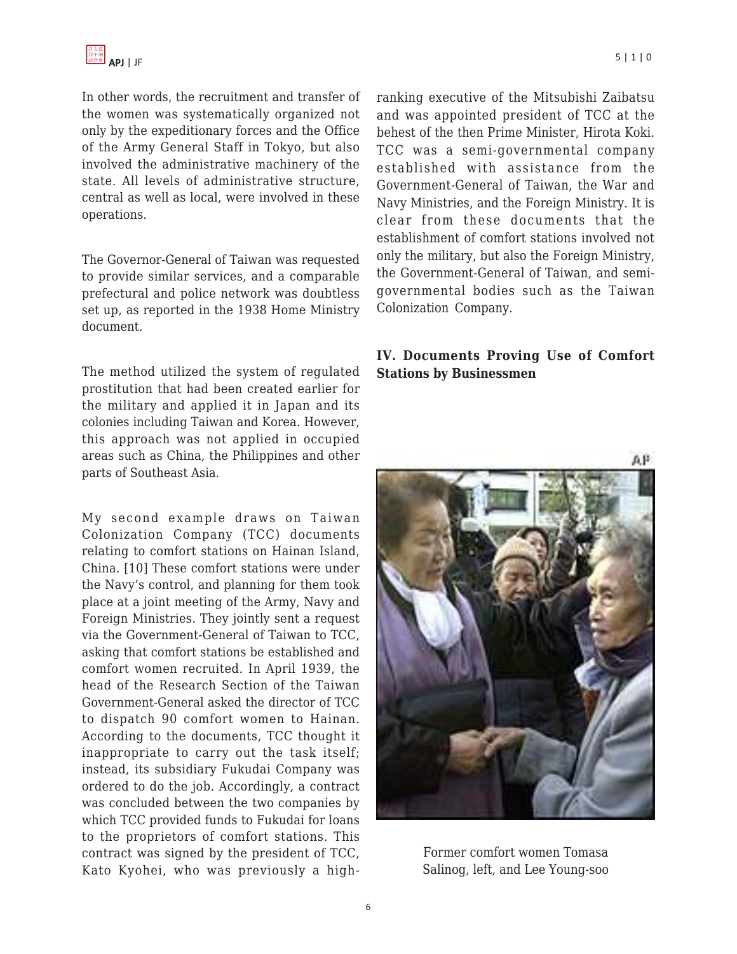In other words, the recruitment and transfer of the women was systematically organized not only by the expeditionary forces and the Office of the Army General Staff in Tokyo, but also involved the administrative machinery of the state. All levels of administrative structure, central as well as local, were involved in these operations.

The Governor-General of Taiwan was requested to provide similar services, and a comparable prefectural and police network was doubtless set up, as reported in the 1938 Home Ministry document.

The method utilized the system of regulated prostitution that had been created earlier for the military and applied it in Japan and its colonies including Taiwan and Korea. However, this approach was not applied in occupied areas such as China, the Philippines and other parts of Southeast Asia.

My second example draws on Taiwan Colonization Company (TCC) documents relating to comfort stations on Hainan Island, China. [10] These comfort stations were under the Navy's control, and planning for them took place at a joint meeting of the Army, Navy and Foreign Ministries. They jointly sent a request via the Government-General of Taiwan to TCC, asking that comfort stations be established and comfort women recruited. In April 1939, the head of the Research Section of the Taiwan Government-General asked the director of TCC to dispatch 90 comfort women to Hainan. According to the documents, TCC thought it inappropriate to carry out the task itself; instead, its subsidiary Fukudai Company was ordered to do the job. Accordingly, a contract was concluded between the two companies by which TCC provided funds to Fukudai for loans to the proprietors of comfort stations. This contract was signed by the president of TCC, Kato Kyohei, who was previously a highranking executive of the Mitsubishi Zaibatsu and was appointed president of TCC at the behest of the then Prime Minister, Hirota Koki. TCC was a semi-governmental company established with assistance from the Government-General of Taiwan, the War and Navy Ministries, and the Foreign Ministry. It is clear from these documents that the establishment of comfort stations involved not only the military, but also the Foreign Ministry, the Government-General of Taiwan, and semigovernmental bodies such as the Taiwan Colonization Company.

### **IV. Documents Proving Use of Comfort Stations by Businessmen**



Former comfort women Tomasa Salinog, left, and Lee Young-soo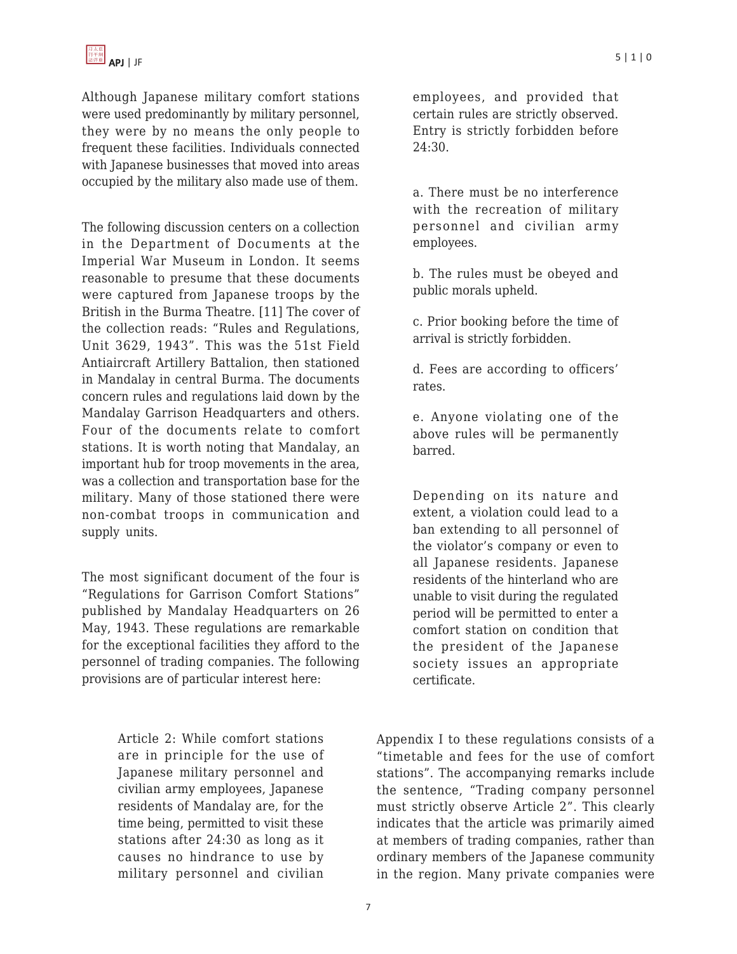Although Japanese military comfort stations were used predominantly by military personnel, they were by no means the only people to frequent these facilities. Individuals connected with Japanese businesses that moved into areas occupied by the military also made use of them.

The following discussion centers on a collection in the Department of Documents at the Imperial War Museum in London. It seems reasonable to presume that these documents were captured from Japanese troops by the British in the Burma Theatre. [11] The cover of the collection reads: "Rules and Regulations, Unit 3629, 1943". This was the 51st Field Antiaircraft Artillery Battalion, then stationed in Mandalay in central Burma. The documents concern rules and regulations laid down by the Mandalay Garrison Headquarters and others. Four of the documents relate to comfort stations. It is worth noting that Mandalay, an important hub for troop movements in the area, was a collection and transportation base for the military. Many of those stationed there were non-combat troops in communication and supply units.

The most significant document of the four is "Regulations for Garrison Comfort Stations" published by Mandalay Headquarters on 26 May, 1943. These regulations are remarkable for the exceptional facilities they afford to the personnel of trading companies. The following provisions are of particular interest here:

> Article 2: While comfort stations are in principle for the use of Japanese military personnel and civilian army employees, Japanese residents of Mandalay are, for the time being, permitted to visit these stations after 24:30 as long as it causes no hindrance to use by military personnel and civilian

employees, and provided that certain rules are strictly observed. Entry is strictly forbidden before 24:30.

a. There must be no interference with the recreation of military personnel and civilian army employees.

b. The rules must be obeyed and public morals upheld.

c. Prior booking before the time of arrival is strictly forbidden.

d. Fees are according to officers' rates.

e. Anyone violating one of the above rules will be permanently barred.

Depending on its nature and extent, a violation could lead to a ban extending to all personnel of the violator's company or even to all Japanese residents. Japanese residents of the hinterland who are unable to visit during the regulated period will be permitted to enter a comfort station on condition that the president of the Japanese society issues an appropriate certificate.

Appendix I to these regulations consists of a "timetable and fees for the use of comfort stations". The accompanying remarks include the sentence, "Trading company personnel must strictly observe Article 2". This clearly indicates that the article was primarily aimed at members of trading companies, rather than ordinary members of the Japanese community in the region. Many private companies were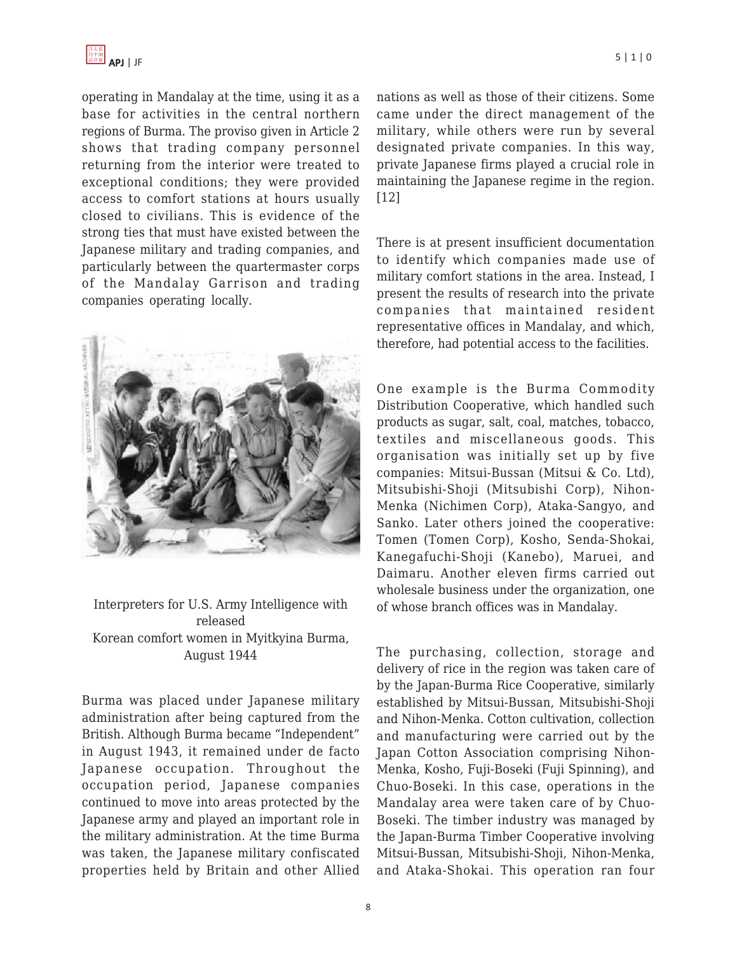

operating in Mandalay at the time, using it as a base for activities in the central northern regions of Burma. The proviso given in Article 2 shows that trading company personnel returning from the interior were treated to exceptional conditions; they were provided access to comfort stations at hours usually closed to civilians. This is evidence of the strong ties that must have existed between the Japanese military and trading companies, and particularly between the quartermaster corps of the Mandalay Garrison and trading companies operating locally.



Interpreters for U.S. Army Intelligence with released Korean comfort women in Myitkyina Burma, August 1944

Burma was placed under Japanese military administration after being captured from the British. Although Burma became "Independent" in August 1943, it remained under de facto Japanese occupation. Throughout the occupation period, Japanese companies continued to move into areas protected by the Japanese army and played an important role in the military administration. At the time Burma was taken, the Japanese military confiscated properties held by Britain and other Allied nations as well as those of their citizens. Some came under the direct management of the military, while others were run by several designated private companies. In this way, private Japanese firms played a crucial role in maintaining the Japanese regime in the region. [12]

There is at present insufficient documentation to identify which companies made use of military comfort stations in the area. Instead, I present the results of research into the private companies that maintained resident representative offices in Mandalay, and which, therefore, had potential access to the facilities.

One example is the Burma Commodity Distribution Cooperative, which handled such products as sugar, salt, coal, matches, tobacco, textiles and miscellaneous goods. This organisation was initially set up by five companies: Mitsui-Bussan (Mitsui & Co. Ltd), Mitsubishi-Shoji (Mitsubishi Corp), Nihon-Menka (Nichimen Corp), Ataka-Sangyo, and Sanko. Later others joined the cooperative: Tomen (Tomen Corp), Kosho, Senda-Shokai, Kanegafuchi-Shoji (Kanebo), Maruei, and Daimaru. Another eleven firms carried out wholesale business under the organization, one of whose branch offices was in Mandalay.

The purchasing, collection, storage and delivery of rice in the region was taken care of by the Japan-Burma Rice Cooperative, similarly established by Mitsui-Bussan, Mitsubishi-Shoji and Nihon-Menka. Cotton cultivation, collection and manufacturing were carried out by the Japan Cotton Association comprising Nihon-Menka, Kosho, Fuji-Boseki (Fuji Spinning), and Chuo-Boseki. In this case, operations in the Mandalay area were taken care of by Chuo-Boseki. The timber industry was managed by the Japan-Burma Timber Cooperative involving Mitsui-Bussan, Mitsubishi-Shoji, Nihon-Menka, and Ataka-Shokai. This operation ran four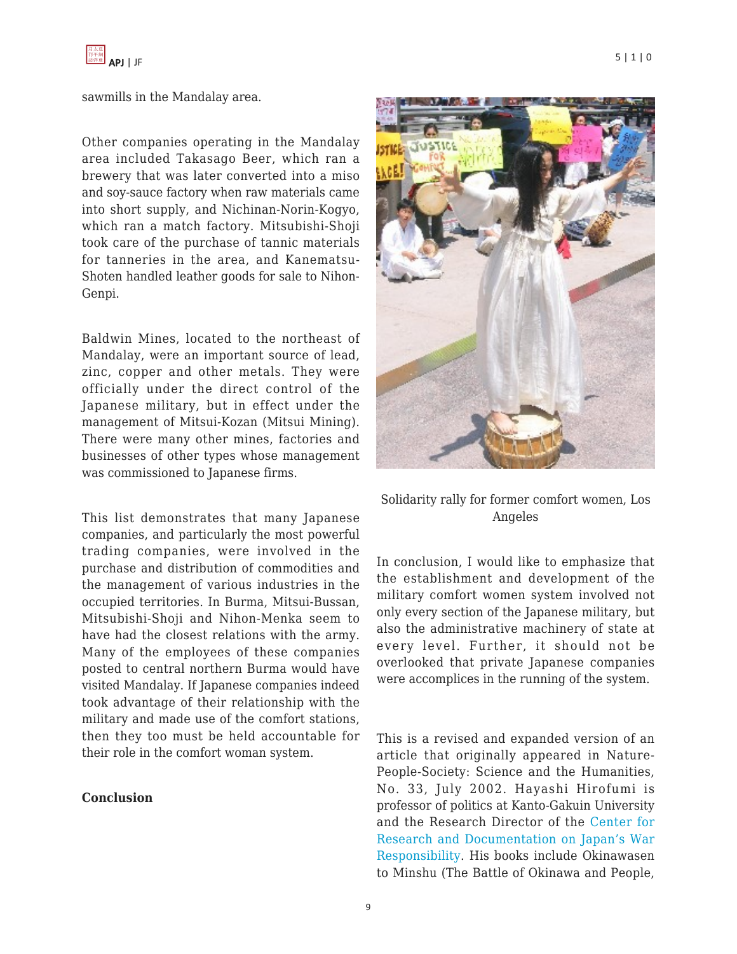

#### sawmills in the Mandalay area.

Other companies operating in the Mandalay area included Takasago Beer, which ran a brewery that was later converted into a miso and soy-sauce factory when raw materials came into short supply, and Nichinan-Norin-Kogyo, which ran a match factory. Mitsubishi-Shoji took care of the purchase of tannic materials for tanneries in the area, and Kanematsu-Shoten handled leather goods for sale to Nihon-Genpi.

Baldwin Mines, located to the northeast of Mandalay, were an important source of lead, zinc, copper and other metals. They were officially under the direct control of the Japanese military, but in effect under the management of Mitsui-Kozan (Mitsui Mining). There were many other mines, factories and businesses of other types whose management was commissioned to Japanese firms.

This list demonstrates that many Japanese companies, and particularly the most powerful trading companies, were involved in the purchase and distribution of commodities and the management of various industries in the occupied territories. In Burma, Mitsui-Bussan, Mitsubishi-Shoji and Nihon-Menka seem to have had the closest relations with the army. Many of the employees of these companies posted to central northern Burma would have visited Mandalay. If Japanese companies indeed took advantage of their relationship with the military and made use of the comfort stations, then they too must be held accountable for their role in the comfort woman system.

#### **Conclusion**





## Solidarity rally for former comfort women, Los Angeles

In conclusion, I would like to emphasize that the establishment and development of the military comfort women system involved not only every section of the Japanese military, but also the administrative machinery of state at every level. Further, it should not be overlooked that private Japanese companies were accomplices in the running of the system.

This is a revised and expanded version of an article that originally appeared in Nature-People-Society: Science and the Humanities, No. 33, July 2002. Hayashi Hirofumi is professor of politics at Kanto-Gakuin University and the Research Director of the [Center for](http://space.geocities.jp/japanwarres/center/english/index-english.htm) [Research and Documentation on Japan's War](http://space.geocities.jp/japanwarres/center/english/index-english.htm) [Responsibility.](http://space.geocities.jp/japanwarres/center/english/index-english.htm) His books include Okinawasen to Minshu (The Battle of Okinawa and People,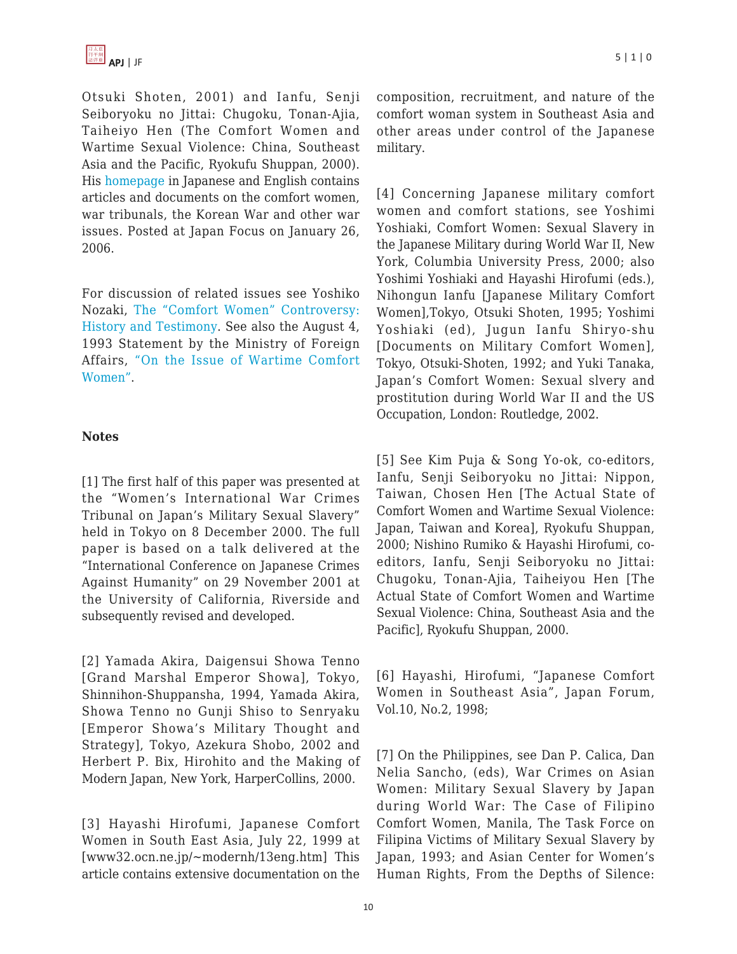Otsuki Shoten, 2001) and Ianfu, Senji Seiboryoku no Jittai: Chugoku, Tonan-Ajia, Taiheiyo Hen (The Comfort Women and Wartime Sexual Violence: China, Southeast Asia and the Pacific, Ryokufu Shuppan, 2000). His [homepage](http://www32.ocn.ne.jp/~modernh/13eng.htm) in Japanese and English contains articles and documents on the comfort women, war tribunals, the Korean War and other war issues. Posted at Japan Focus on January 26, 2006.

For discussion of related issues see Yoshiko Nozaki, [The "Comfort Women" Controversy:](http://www.japanfocus.org/products/details/2063) [History and Testimony.](http://www.japanfocus.org/products/details/2063) See also the August 4, 1993 Statement by the Ministry of Foreign Affairs, ["On the Issue of Wartime Comfort](http://www.mofa.go.jp/policy/postwar/issue9308.html) [Women".](http://www.mofa.go.jp/policy/postwar/issue9308.html)

#### **Notes**

[1] The first half of this paper was presented at the "Women's International War Crimes Tribunal on Japan's Military Sexual Slavery" held in Tokyo on 8 December 2000. The full paper is based on a talk delivered at the "International Conference on Japanese Crimes Against Humanity" on 29 November 2001 at the University of California, Riverside and subsequently revised and developed.

[2] Yamada Akira, Daigensui Showa Tenno [Grand Marshal Emperor Showa], Tokyo, Shinnihon-Shuppansha, 1994, Yamada Akira, Showa Tenno no Gunji Shiso to Senryaku [Emperor Showa's Military Thought and Strategy], Tokyo, Azekura Shobo, 2002 and Herbert P. Bix, Hirohito and the Making of Modern Japan, New York, HarperCollins, 2000.

[3] Hayashi Hirofumi, Japanese Comfort Women in South East Asia, July 22, 1999 at [www32.ocn.ne.jp/~modernh/13eng.htm] This article contains extensive documentation on the composition, recruitment, and nature of the comfort woman system in Southeast Asia and other areas under control of the Japanese military.

[4] Concerning Japanese military comfort women and comfort stations, see Yoshimi Yoshiaki, Comfort Women: Sexual Slavery in the Japanese Military during World War II, New York, Columbia University Press, 2000; also Yoshimi Yoshiaki and Hayashi Hirofumi (eds.), Nihongun Ianfu [Japanese Military Comfort Women],Tokyo, Otsuki Shoten, 1995; Yoshimi Yoshiaki (ed), Jugun Ianfu Shiryo-shu [Documents on Military Comfort Women], Tokyo, Otsuki-Shoten, 1992; and Yuki Tanaka, Japan's Comfort Women: Sexual slvery and prostitution during World War II and the US Occupation, London: Routledge, 2002.

[5] See Kim Puja & Song Yo-ok, co-editors, Ianfu, Senji Seiboryoku no Jittai: Nippon, Taiwan, Chosen Hen [The Actual State of Comfort Women and Wartime Sexual Violence: Japan, Taiwan and Korea], Ryokufu Shuppan, 2000; Nishino Rumiko & Hayashi Hirofumi, coeditors, Ianfu, Senji Seiboryoku no Jittai: Chugoku, Tonan-Ajia, Taiheiyou Hen [The Actual State of Comfort Women and Wartime Sexual Violence: China, Southeast Asia and the Pacific], Ryokufu Shuppan, 2000.

[6] Hayashi, Hirofumi, "Japanese Comfort Women in Southeast Asia", Japan Forum, Vol.10, No.2, 1998;

[7] On the Philippines, see Dan P. Calica, Dan Nelia Sancho, (eds), War Crimes on Asian Women: Military Sexual Slavery by Japan during World War: The Case of Filipino Comfort Women, Manila, The Task Force on Filipina Victims of Military Sexual Slavery by Japan, 1993; and Asian Center for Women's Human Rights, From the Depths of Silence: